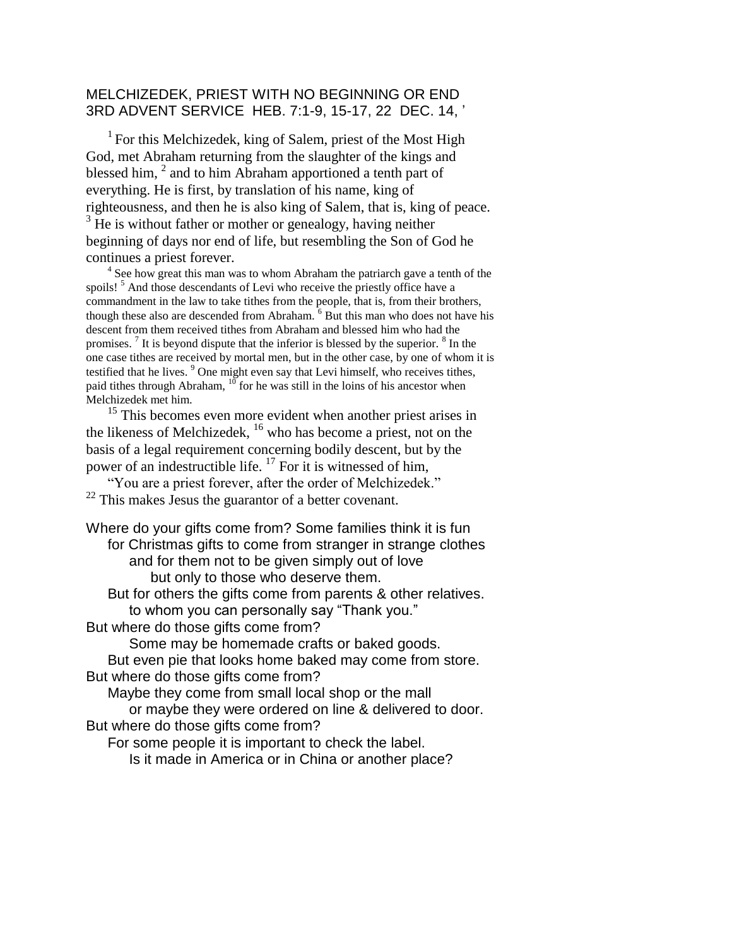#### MELCHIZEDEK, PRIEST WITH NO BEGINNING OR END 3RD ADVENT SERVICE HEB. 7:1-9, 15-17, 22 DEC. 14, '

 $<sup>1</sup>$  For this Melchizedek, king of Salem, priest of the Most High</sup> God, met Abraham returning from the slaughter of the kings and blessed him, <sup>2</sup> and to him Abraham apportioned a tenth part of everything. He is first, by translation of his name, king of righteousness, and then he is also king of Salem, that is, king of peace.  $3$  He is without father or mother or genealogy, having neither beginning of days nor end of life, but resembling the Son of God he continues a priest forever.

<sup>4</sup> See how great this man was to whom Abraham the patriarch gave a tenth of the spoils!<sup>5</sup> And those descendants of Levi who receive the priestly office have a commandment in the law to take tithes from the people, that is, from their brothers, though these also are descended from Abraham.  $6$  But this man who does not have his descent from them received tithes from Abraham and blessed him who had the promises.<sup>7</sup> It is beyond dispute that the inferior is blessed by the superior.  $8 \text{ In the}$ one case tithes are received by mortal men, but in the other case, by one of whom it is testified that he lives. <sup>9</sup> One might even say that Levi himself, who receives tithes, paid tithes through Abraham,  $10$  for he was still in the loins of his ancestor when Melchizedek met him.

<sup>15</sup> This becomes even more evident when another priest arises in the likeness of Melchizedek, <sup>16</sup> who has become a priest, not on the basis of a legal requirement concerning bodily descent, but by the power of an indestructible life.  $^{17}$  For it is witnessed of him,

"You are a priest forever, after the order of Melchizedek."  $22$  This makes Jesus the guarantor of a better covenant.

Where do your gifts come from? Some families think it is fun for Christmas gifts to come from stranger in strange clothes and for them not to be given simply out of love but only to those who deserve them.

But for others the gifts come from parents & other relatives. to whom you can personally say "Thank you."

But where do those gifts come from?

Some may be homemade crafts or baked goods.

But even pie that looks home baked may come from store. But where do those gifts come from?

Maybe they come from small local shop or the mall

or maybe they were ordered on line & delivered to door. But where do those gifts come from?

For some people it is important to check the label.

Is it made in America or in China or another place?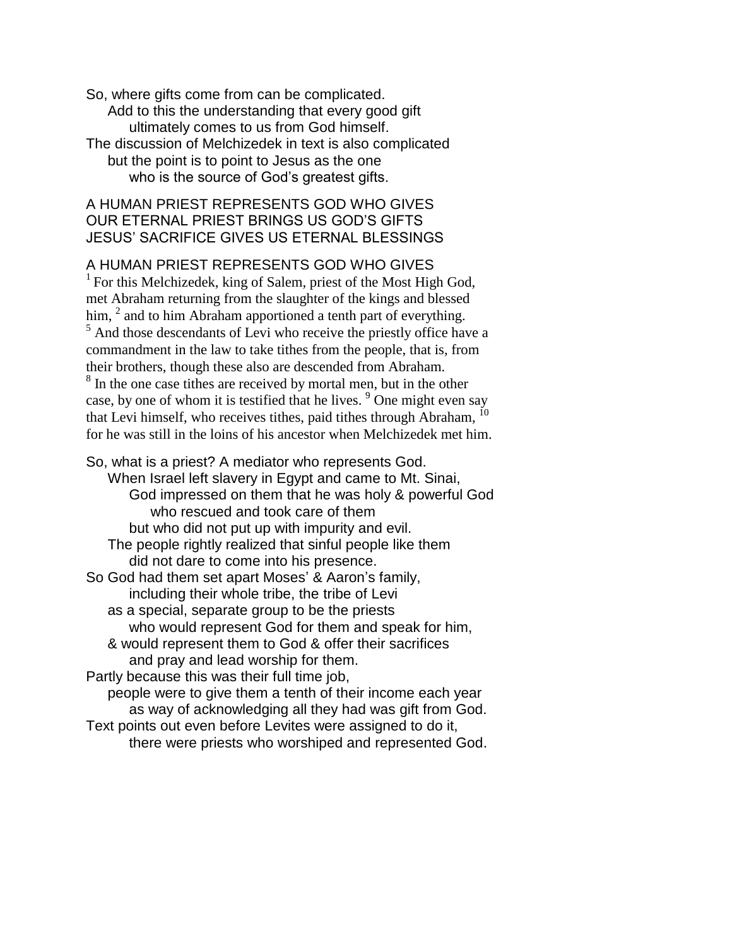So, where gifts come from can be complicated. Add to this the understanding that every good gift ultimately comes to us from God himself. The discussion of Melchizedek in text is also complicated but the point is to point to Jesus as the one who is the source of God's greatest gifts.

### A HUMAN PRIEST REPRESENTS GOD WHO GIVES OUR ETERNAL PRIEST BRINGS US GOD'S GIFTS JESUS' SACRIFICE GIVES US ETERNAL BLESSINGS

#### A HUMAN PRIEST REPRESENTS GOD WHO GIVES

<sup>1</sup> For this Melchizedek, king of Salem, priest of the Most High God, met Abraham returning from the slaughter of the kings and blessed him,  $<sup>2</sup>$  and to him Abraham apportioned a tenth part of everything.</sup> <sup>5</sup> And those descendants of Levi who receive the priestly office have a commandment in the law to take tithes from the people, that is, from their brothers, though these also are descended from Abraham. <sup>8</sup> In the one case tithes are received by mortal men, but in the other case, by one of whom it is testified that he lives. <sup>9</sup> One might even say that Levi himself, who receives tithes, paid tithes through Abraham, for he was still in the loins of his ancestor when Melchizedek met him.

So, what is a priest? A mediator who represents God. When Israel left slavery in Egypt and came to Mt. Sinai, God impressed on them that he was holy & powerful God who rescued and took care of them but who did not put up with impurity and evil. The people rightly realized that sinful people like them did not dare to come into his presence. So God had them set apart Moses' & Aaron's family, including their whole tribe, the tribe of Levi as a special, separate group to be the priests who would represent God for them and speak for him, & would represent them to God & offer their sacrifices and pray and lead worship for them. Partly because this was their full time job, people were to give them a tenth of their income each year as way of acknowledging all they had was gift from God. Text points out even before Levites were assigned to do it, there were priests who worshiped and represented God.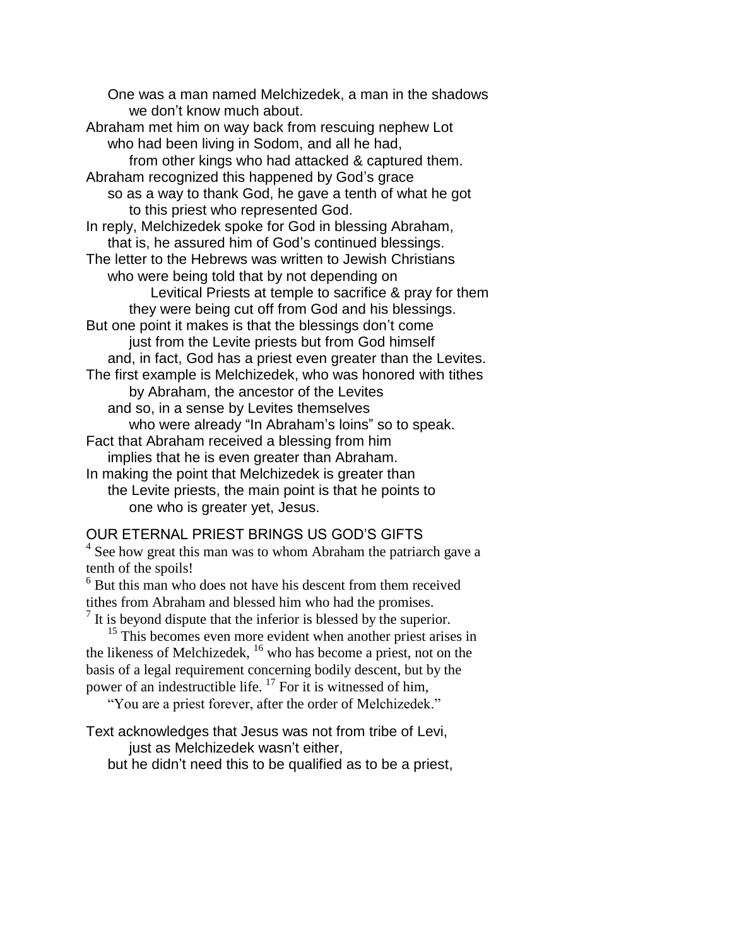One was a man named Melchizedek, a man in the shadows we don't know much about. Abraham met him on way back from rescuing nephew Lot who had been living in Sodom, and all he had, from other kings who had attacked & captured them. Abraham recognized this happened by God's grace so as a way to thank God, he gave a tenth of what he got to this priest who represented God. In reply, Melchizedek spoke for God in blessing Abraham, that is, he assured him of God's continued blessings. The letter to the Hebrews was written to Jewish Christians who were being told that by not depending on Levitical Priests at temple to sacrifice & pray for them they were being cut off from God and his blessings. But one point it makes is that the blessings don't come just from the Levite priests but from God himself and, in fact, God has a priest even greater than the Levites. The first example is Melchizedek, who was honored with tithes by Abraham, the ancestor of the Levites and so, in a sense by Levites themselves who were already "In Abraham's loins" so to speak. Fact that Abraham received a blessing from him implies that he is even greater than Abraham. In making the point that Melchizedek is greater than the Levite priests, the main point is that he points to one who is greater yet, Jesus.

## OUR ETERNAL PRIEST BRINGS US GOD'S GIFTS

<sup>4</sup> See how great this man was to whom Abraham the patriarch gave a tenth of the spoils!

<sup>6</sup> But this man who does not have his descent from them received tithes from Abraham and blessed him who had the promises.

 $<sup>7</sup>$  It is beyond dispute that the inferior is blessed by the superior.</sup>

<sup>15</sup> This becomes even more evident when another priest arises in the likeness of Melchizedek, <sup>16</sup> who has become a priest, not on the basis of a legal requirement concerning bodily descent, but by the power of an indestructible life.  $^{17}$  For it is witnessed of him,

"You are a priest forever, after the order of Melchizedek."

Text acknowledges that Jesus was not from tribe of Levi,

just as Melchizedek wasn't either,

but he didn't need this to be qualified as to be a priest,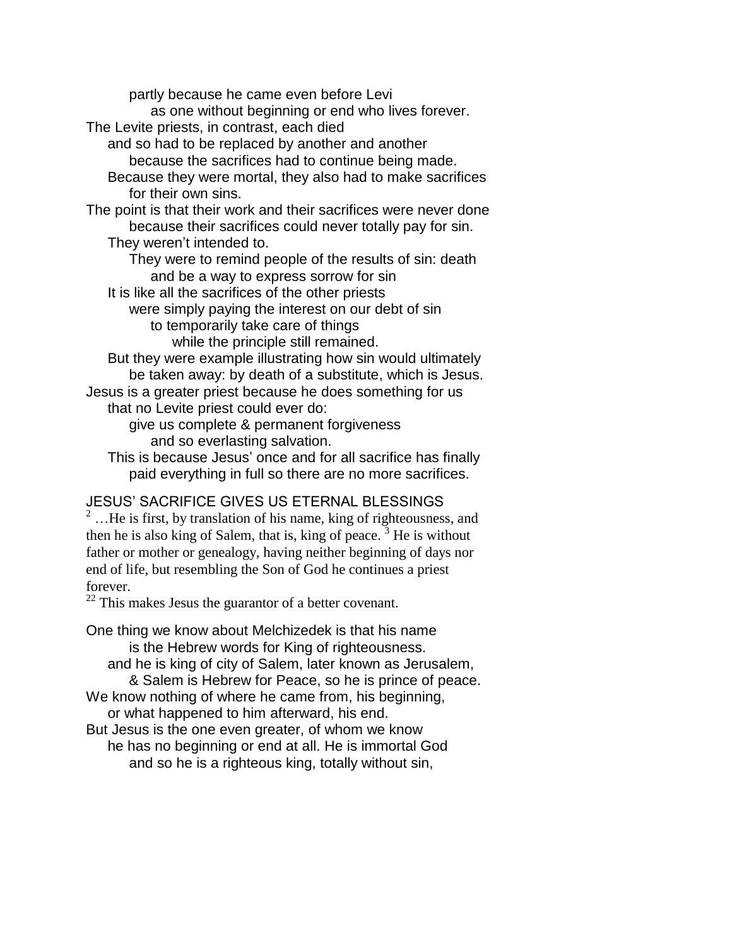partly because he came even before Levi

as one without beginning or end who lives forever.

The Levite priests, in contrast, each died

and so had to be replaced by another and another because the sacrifices had to continue being made.

Because they were mortal, they also had to make sacrifices for their own sins.

The point is that their work and their sacrifices were never done because their sacrifices could never totally pay for sin.

They weren't intended to.

They were to remind people of the results of sin: death and be a way to express sorrow for sin

It is like all the sacrifices of the other priests

were simply paying the interest on our debt of sin to temporarily take care of things

while the principle still remained.

But they were example illustrating how sin would ultimately be taken away: by death of a substitute, which is Jesus.

Jesus is a greater priest because he does something for us that no Levite priest could ever do:

give us complete & permanent forgiveness and so everlasting salvation.

This is because Jesus' once and for all sacrifice has finally paid everything in full so there are no more sacrifices.

# JESUS' SACRIFICE GIVES US ETERNAL BLESSINGS

 $2$  ... He is first, by translation of his name, king of righteousness, and then he is also king of Salem, that is, king of peace.<sup>3</sup> He is without father or mother or genealogy, having neither beginning of days nor end of life, but resembling the Son of God he continues a priest forever.

<sup>22</sup> This makes Jesus the guarantor of a better covenant.

One thing we know about Melchizedek is that his name is the Hebrew words for King of righteousness. and he is king of city of Salem, later known as Jerusalem, & Salem is Hebrew for Peace, so he is prince of peace. We know nothing of where he came from, his beginning, or what happened to him afterward, his end.

But Jesus is the one even greater, of whom we know he has no beginning or end at all. He is immortal God and so he is a righteous king, totally without sin,